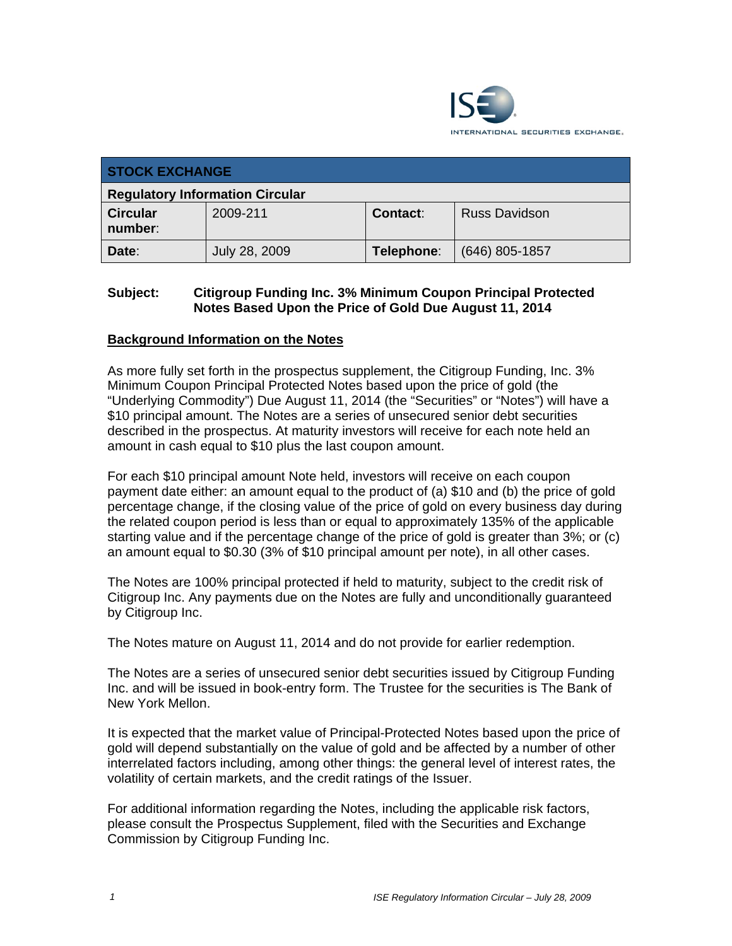

| <b>STOCK EXCHANGE</b>                  |               |            |                      |  |  |
|----------------------------------------|---------------|------------|----------------------|--|--|
| <b>Regulatory Information Circular</b> |               |            |                      |  |  |
| <b>Circular</b><br>number:             | 2009-211      | Contact:   | <b>Russ Davidson</b> |  |  |
| Date:                                  | July 28, 2009 | Telephone: | $(646)$ 805-1857     |  |  |

## **Subject: Citigroup Funding Inc. 3% Minimum Coupon Principal Protected Notes Based Upon the Price of Gold Due August 11, 2014**

### **Background Information on the Notes**

As more fully set forth in the prospectus supplement, the Citigroup Funding, Inc. 3% Minimum Coupon Principal Protected Notes based upon the price of gold (the "Underlying Commodity") Due August 11, 2014 (the "Securities" or "Notes") will have a \$10 principal amount. The Notes are a series of unsecured senior debt securities described in the prospectus. At maturity investors will receive for each note held an amount in cash equal to \$10 plus the last coupon amount.

For each \$10 principal amount Note held, investors will receive on each coupon payment date either: an amount equal to the product of (a) \$10 and (b) the price of gold percentage change, if the closing value of the price of gold on every business day during the related coupon period is less than or equal to approximately 135% of the applicable starting value and if the percentage change of the price of gold is greater than 3%; or (c) an amount equal to \$0.30 (3% of \$10 principal amount per note), in all other cases.

The Notes are 100% principal protected if held to maturity, subject to the credit risk of Citigroup Inc. Any payments due on the Notes are fully and unconditionally guaranteed by Citigroup Inc.

The Notes mature on August 11, 2014 and do not provide for earlier redemption.

The Notes are a series of unsecured senior debt securities issued by Citigroup Funding Inc. and will be issued in book-entry form. The Trustee for the securities is The Bank of New York Mellon.

It is expected that the market value of Principal-Protected Notes based upon the price of gold will depend substantially on the value of gold and be affected by a number of other interrelated factors including, among other things: the general level of interest rates, the volatility of certain markets, and the credit ratings of the Issuer.

For additional information regarding the Notes, including the applicable risk factors, please consult the Prospectus Supplement, filed with the Securities and Exchange Commission by Citigroup Funding Inc.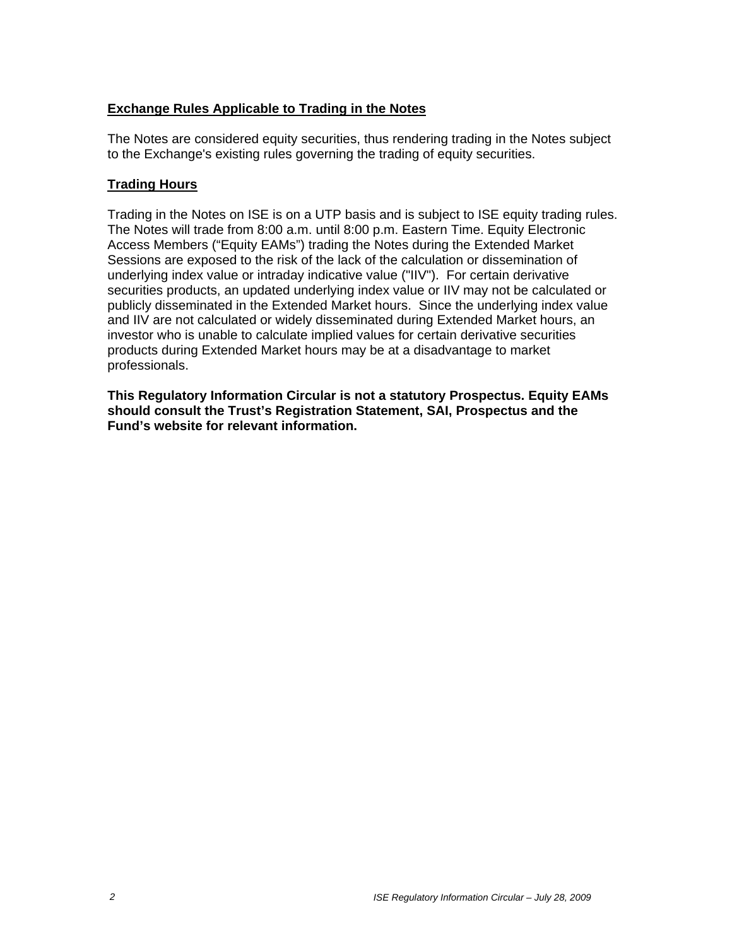### **Exchange Rules Applicable to Trading in the Notes**

The Notes are considered equity securities, thus rendering trading in the Notes subject to the Exchange's existing rules governing the trading of equity securities.

#### **Trading Hours**

Trading in the Notes on ISE is on a UTP basis and is subject to ISE equity trading rules. The Notes will trade from 8:00 a.m. until 8:00 p.m. Eastern Time. Equity Electronic Access Members ("Equity EAMs") trading the Notes during the Extended Market Sessions are exposed to the risk of the lack of the calculation or dissemination of underlying index value or intraday indicative value ("IIV"). For certain derivative securities products, an updated underlying index value or IIV may not be calculated or publicly disseminated in the Extended Market hours. Since the underlying index value and IIV are not calculated or widely disseminated during Extended Market hours, an investor who is unable to calculate implied values for certain derivative securities products during Extended Market hours may be at a disadvantage to market professionals.

**This Regulatory Information Circular is not a statutory Prospectus. Equity EAMs should consult the Trust's Registration Statement, SAI, Prospectus and the Fund's website for relevant information.**